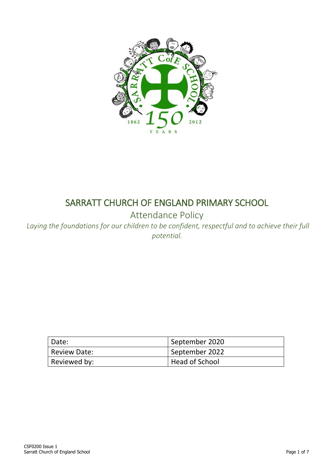

# SARRATT CHURCH OF ENGLAND PRIMARY SCHOOL

Attendance Policy

*Laying the foundations for our children to be confident, respectful and to achieve their full potential.*

| Date:        | September 2020 |
|--------------|----------------|
| Review Date: | September 2022 |
| Reviewed by: | Head of School |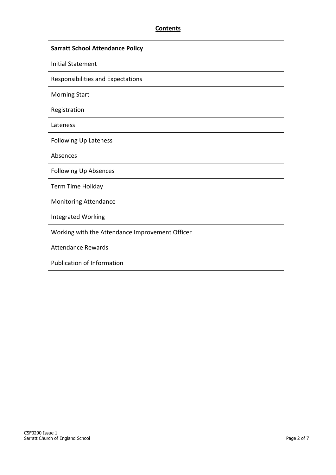# **Contents**

| <b>Sarratt School Attendance Policy</b>         |  |
|-------------------------------------------------|--|
| <b>Initial Statement</b>                        |  |
| Responsibilities and Expectations               |  |
| <b>Morning Start</b>                            |  |
| Registration                                    |  |
| Lateness                                        |  |
| <b>Following Up Lateness</b>                    |  |
| Absences                                        |  |
| <b>Following Up Absences</b>                    |  |
| Term Time Holiday                               |  |
| <b>Monitoring Attendance</b>                    |  |
| <b>Integrated Working</b>                       |  |
| Working with the Attendance Improvement Officer |  |
| <b>Attendance Rewards</b>                       |  |
| Publication of Information                      |  |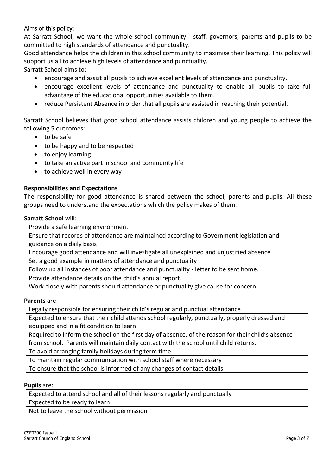# Aims of this policy:

At Sarratt School, we want the whole school community - staff, governors, parents and pupils to be committed to high standards of attendance and punctuality.

Good attendance helps the children in this school community to maximise their learning. This policy will support us all to achieve high levels of attendance and punctuality.

Sarratt School aims to:

- encourage and assist all pupils to achieve excellent levels of attendance and punctuality.
- encourage excellent levels of attendance and punctuality to enable all pupils to take full advantage of the educational opportunities available to them.
- reduce Persistent Absence in order that all pupils are assisted in reaching their potential.

Sarratt School believes that good school attendance assists children and young people to achieve the following 5 outcomes:

- to be safe
- to be happy and to be respected
- to enjoy learning
- to take an active part in school and community life
- to achieve well in every way

# **Responsibilities and Expectations**

The responsibility for good attendance is shared between the school, parents and pupils. All these groups need to understand the expectations which the policy makes of them.

#### **Sarratt School** will:

Provide a safe learning environment

Ensure that records of attendance are maintained according to Government legislation and guidance on a daily basis

Encourage good attendance and will investigate all unexplained and unjustified absence

Set a good example in matters of attendance and punctuality

Follow up all instances of poor attendance and punctuality - letter to be sent home.

Provide attendance details on the child's annual report.

Work closely with parents should attendance or punctuality give cause for concern

# **Parents** are:

Legally responsible for ensuring their child's regular and punctual attendance

Expected to ensure that their child attends school regularly, punctually, properly dressed and equipped and in a fit condition to learn

Required to inform the school on the first day of absence, of the reason for their child's absence from school. Parents will maintain daily contact with the school until child returns.

To avoid arranging family holidays during term time

To maintain regular communication with school staff where necessary

To ensure that the school is informed of any changes of contact details

# **Pupils** are:

Expected to attend school and all of their lessons regularly and punctually

Expected to be ready to learn

Not to leave the school without permission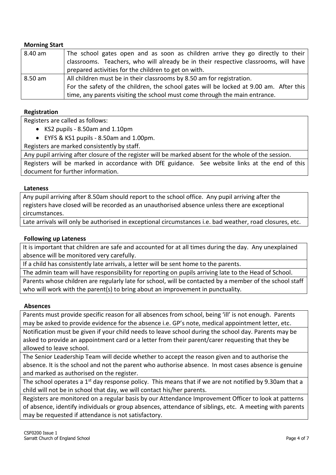## **Morning Start**

| 8.40 am | The school gates open and as soon as children arrive they go directly to their         |
|---------|----------------------------------------------------------------------------------------|
|         | classrooms. Teachers, who will already be in their respective classrooms, will have    |
|         | prepared activities for the children to get on with.                                   |
| 8.50 am | All children must be in their classrooms by 8.50 am for registration.                  |
|         | For the safety of the children, the school gates will be locked at 9.00 am. After this |
|         | time, any parents visiting the school must come through the main entrance.             |

#### **Registration**

Registers are called as follows:

- KS2 pupils 8.50am and 1.10pm
- EYFS & KS1 pupils 8.50am and 1.00pm.

Registers are marked consistently by staff.

Any pupil arriving after closure of the register will be marked absent for the whole of the session.

Registers will be marked in accordance with DfE guidance. See website links at the end of this document for further information.

#### **Lateness**

Any pupil arriving after 8.50am should report to the school office. Any pupil arriving after the registers have closed will be recorded as an unauthorised absence unless there are exceptional circumstances.

Late arrivals will only be authorised in exceptional circumstances i.e. bad weather, road closures, etc.

## **Following up Lateness**

It is important that children are safe and accounted for at all times during the day. Any unexplained absence will be monitored very carefully.

If a child has consistently late arrivals, a letter will be sent home to the parents.

The admin team will have responsibility for reporting on pupils arriving late to the Head of School. Parents whose children are regularly late for school, will be contacted by a member of the school staff who will work with the parent(s) to bring about an improvement in punctuality.

#### **Absences**

Parents must provide specific reason for all absences from school, being 'ill' is not enough. Parents may be asked to provide evidence for the absence i.e. GP's note, medical appointment letter, etc. Notification must be given if your child needs to leave school during the school day. Parents may be

asked to provide an appointment card or a letter from their parent/carer requesting that they be allowed to leave school.

The Senior Leadership Team will decide whether to accept the reason given and to authorise the absence. It is the school and not the parent who authorise absence. In most cases absence is genuine and marked as authorised on the register.

The school operates a 1<sup>st</sup> day response policy. This means that if we are not notified by 9.30am that a child will not be in school that day, we will contact his/her parents.

Registers are monitored on a regular basis by our Attendance Improvement Officer to look at patterns of absence, identify individuals or group absences, attendance of siblings, etc. A meeting with parents may be requested if attendance is not satisfactory.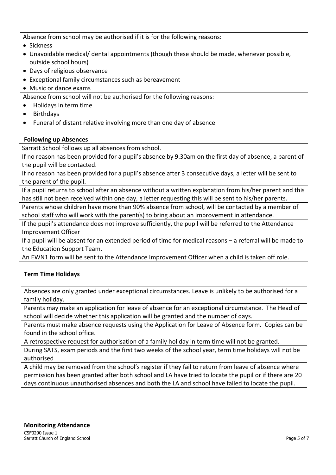Absence from school may be authorised if it is for the following reasons:

- Sickness
- Unavoidable medical/ dental appointments (though these should be made, whenever possible, outside school hours)
- Days of religious observance
- Exceptional family circumstances such as bereavement

Music or dance exams

Absence from school will not be authorised for the following reasons:

- Holidays in term time
- Birthdays
- Funeral of distant relative involving more than one day of absence

# **Following up Absences**

Sarratt School follows up all absences from school.

If no reason has been provided for a pupil's absence by 9.30am on the first day of absence, a parent of the pupil will be contacted.

If no reason has been provided for a pupil's absence after 3 consecutive days, a letter will be sent to the parent of the pupil.

If a pupil returns to school after an absence without a written explanation from his/her parent and this has still not been received within one day, a letter requesting this will be sent to his/her parents.

Parents whose children have more than 90% absence from school, will be contacted by a member of school staff who will work with the parent(s) to bring about an improvement in attendance.

If the pupil's attendance does not improve sufficiently, the pupil will be referred to the Attendance Improvement Officer

If a pupil will be absent for an extended period of time for medical reasons – a referral will be made to the Education Support Team.

An EWN1 form will be sent to the Attendance Improvement Officer when a child is taken off role.

# **Term Time Holidays**

Absences are only granted under exceptional circumstances. Leave is unlikely to be authorised for a family holiday.

Parents may make an application for leave of absence for an exceptional circumstance. The Head of school will decide whether this application will be granted and the number of days.

Parents must make absence requests using the Application for Leave of Absence form. Copies can be found in the school office.

A retrospective request for authorisation of a family holiday in term time will not be granted.

During SATS, exam periods and the first two weeks of the school year, term time holidays will not be authorised

A child may be removed from the school's register if they fail to return from leave of absence where permission has been granted after both school and LA have tried to locate the pupil or if there are 20 days continuous unauthorised absences and both the LA and school have failed to locate the pupil.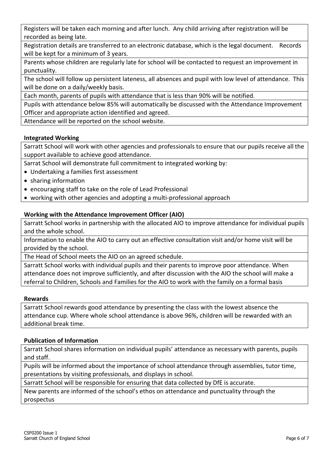Registers will be taken each morning and after lunch. Any child arriving after registration will be recorded as being late.

Registration details are transferred to an electronic database, which is the legal document. Records will be kept for a minimum of 3 years.

Parents whose children are regularly late for school will be contacted to request an improvement in punctuality.

The school will follow up persistent lateness, all absences and pupil with low level of attendance. This will be done on a daily/weekly basis.

Each month, parents of pupils with attendance that is less than 90% will be notified.

Pupils with attendance below 85% will automatically be discussed with the Attendance Improvement Officer and appropriate action identified and agreed.

Attendance will be reported on the school website.

# **Integrated Working**

Sarratt School will work with other agencies and professionals to ensure that our pupils receive all the support available to achieve good attendance.

Sarrat School will demonstrate full commitment to integrated working by:

- Undertaking a families first assessment
- sharing information
- encouraging staff to take on the role of Lead Professional
- working with other agencies and adopting a multi-professional approach

# **Working with the Attendance Improvement Officer (AIO)**

Sarratt School works in partnership with the allocated AIO to improve attendance for individual pupils and the whole school.

Information to enable the AIO to carry out an effective consultation visit and/or home visit will be provided by the school.

The Head of School meets the AIO on an agreed schedule.

Sarratt School works with individual pupils and their parents to improve poor attendance. When attendance does not improve sufficiently, and after discussion with the AIO the school will make a referral to Children, Schools and Families for the AIO to work with the family on a formal basis

#### **Rewards**

Sarratt School rewards good attendance by presenting the class with the lowest absence the attendance cup. Where whole school attendance is above 96%, children will be rewarded with an additional break time.

# **Publication of Information**

Sarratt School shares information on individual pupils' attendance as necessary with parents, pupils and staff.

Pupils will be informed about the importance of school attendance through assemblies, tutor time, presentations by visiting professionals, and displays in school.

Sarratt School will be responsible for ensuring that data collected by DfE is accurate.

New parents are informed of the school's ethos on attendance and punctuality through the prospectus